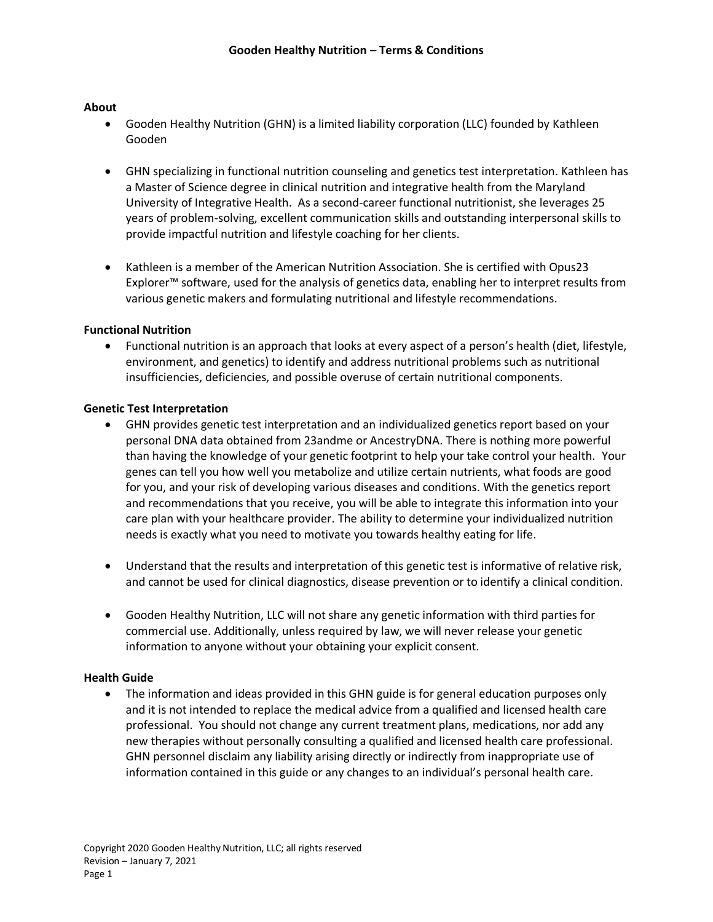## **About**

- Gooden Healthy Nutrition (GHN) is a limited liability corporation (LLC) founded by Kathleen Gooden
- GHN specializing in functional nutrition counseling and genetics test interpretation. Kathleen has a Master of Science degree in clinical nutrition and integrative health from the Maryland University of Integrative Health. As a second-career functional nutritionist, she leverages 25 years of problem-solving, excellent communication skills and outstanding interpersonal skills to provide impactful nutrition and lifestyle coaching for her clients.
- Kathleen is a member of the American Nutrition Association. She is certified with Opus23 Explorer™ software, used for the analysis of genetics data, enabling her to interpret results from various genetic makers and formulating nutritional and lifestyle recommendations.

### **Functional Nutrition**

• Functional nutrition is an approach that looks at every aspect of a person's health (diet, lifestyle, environment, and genetics) to identify and address nutritional problems such as nutritional insufficiencies, deficiencies, and possible overuse of certain nutritional components.

# **Genetic Test Interpretation**

- GHN provides genetic test interpretation and an individualized genetics report based on your personal DNA data obtained from 23andme or AncestryDNA. There is nothing more powerful than having the knowledge of your genetic footprint to help your take control your health. Your genes can tell you how well you metabolize and utilize certain nutrients, what foods are good for you, and your risk of developing various diseases and conditions. With the genetics report and recommendations that you receive, you will be able to integrate this information into your care plan with your healthcare provider. The ability to determine your individualized nutrition needs is exactly what you need to motivate you towards healthy eating for life.
- Understand that the results and interpretation of this genetic test is informative of relative risk, and cannot be used for clinical diagnostics, disease prevention or to identify a clinical condition.
- Gooden Healthy Nutrition, LLC will not share any genetic information with third parties for commercial use. Additionally, unless required by law, we will never release your genetic information to anyone without your obtaining your explicit consent.

### **Health Guide**

• The information and ideas provided in this GHN guide is for general education purposes only and it is not intended to replace the medical advice from a qualified and licensed health care professional. You should not change any current treatment plans, medications, nor add any new therapies without personally consulting a qualified and licensed health care professional. GHN personnel disclaim any liability arising directly or indirectly from inappropriate use of information contained in this guide or any changes to an individual's personal health care.